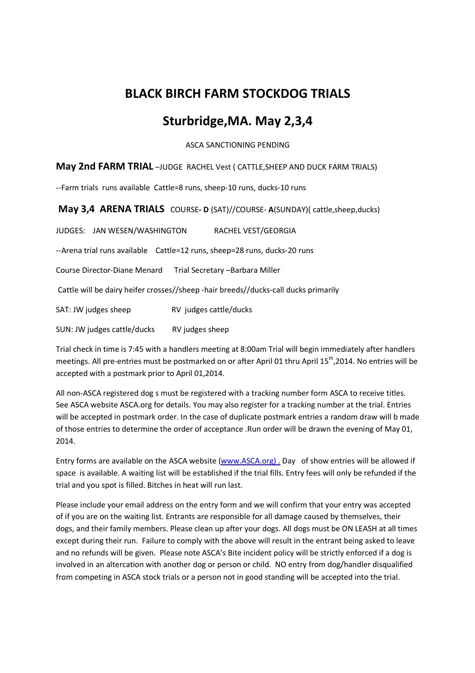# **BLACK BIRCH FARM STOCKDOG TRIALS**

## **Sturbridge,MA. May 2,3,4**

ASCA SANCTIONING PENDING

#### **May 2nd FARM TRIAL** –JUDGE RACHEL Vest ( CATTLE,SHEEP AND DUCK FARM TRIALS)

--Farm trials runs available Cattle=8 runs, sheep-10 runs, ducks-10 runs

**May 3,4 ARENA TRIALS** COURSE- **D** (SAT)//COURSE-A(SUNDAY)( cattle,sheep,ducks)

JUDGES: JAN WESEN/WASHINGTON RACHEL VEST/GEORGIA --Arena trial runs available Cattle=12 runs, sheep=28 runs, ducks-20 runs Course Director-Diane Menard Trial Secretary –Barbara Miller Cattle will be dairy heifer crosses//sheep -hair breeds//ducks-call ducks primarily SAT: JW judges sheep RV judges cattle/ducks SUN: JW judges cattle/ducks RV judges sheep

Trial check in time is 7:45 with a handlers meeting at 8:00am Trial will begin immediately after handlers meetings. All pre-entries must be postmarked on or after April 01 thru April 15<sup>th</sup>,2014. No entries will be accepted with a postmark prior to April 01,2014.

All non-ASCA registered dog s must be registered with a tracking number form ASCA to receive titles. See ASCA website ASCA.org for details. You may also register for a tracking number at the trial. Entries will be accepted in postmark order. In the case of duplicate postmark entries a random draw will b made of those entries to determine the order of acceptance .Run order will be drawn the evening of May 01, 2014.

Entry forms are available on the ASCA website (www.ASCA.org) . Day of show entries will be allowed if space is available. A waiting list will be established if the trial fills. Entry fees will only be refunded if the trial and you spot is filled. Bitches in heat will run last.

Please include your email address on the entry form and we will confirm that your entry was accepted of if you are on the waiting list. Entrants are responsible for all damage caused by themselves, their dogs, and their family members. Please clean up after your dogs. All dogs must be ON LEASH at all times except during their run. Failure to comply with the above will result in the entrant being asked to leave and no refunds will be given. Please note ASCA's Bite incident policy will be strictly enforced if a dog is involved in an altercation with another dog or person or child. NO entry from dog/handler disqualified from competing in ASCA stock trials or a person not in good standing will be accepted into the trial.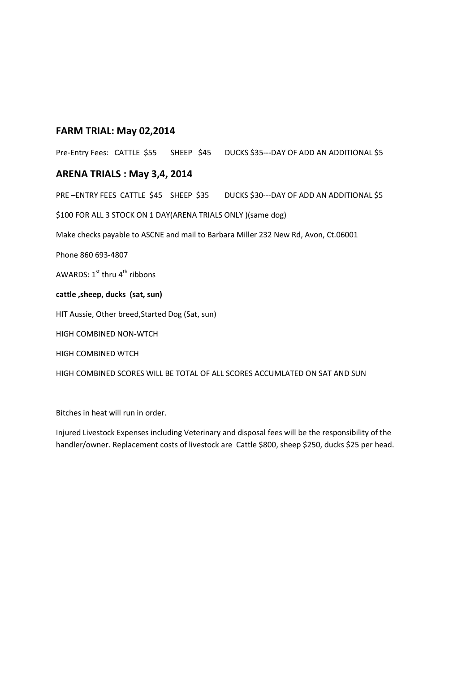#### **FARM TRIAL: May 02,2014**

Pre-Entry Fees: CATTLE \$55 SHEEP \$45 DUCKS \$35---DAY OF ADD AN ADDITIONAL \$5

#### **ARENA TRIALS : May 3,4, 2014**

PRE -ENTRY FEES CATTLE \$45 SHEEP \$35 DUCKS \$30--- DAY OF ADD AN ADDITIONAL \$5 \$100 FOR ALL 3 STOCK ON 1 DAY(ARENA TRIALS ONLY )(same dog) Make checks payable to ASCNE and mail to Barbara Miller 232 New Rd, Avon, Ct.06001 Phone 860 693-4807 AWARDS:  $1^{st}$  thru  $4^{th}$  ribbons **cattle ,sheep, ducks (sat, sun)**  HIT Aussie, Other breed,Started Dog (Sat, sun) HIGH COMBINED NON-WTCH HIGH COMBINED WTCH HIGH COMBINED SCORES WILL BE TOTAL OF ALL SCORES ACCUMLATED ON SAT AND SUN

Bitches in heat will run in order.

Injured Livestock Expenses including Veterinary and disposal fees will be the responsibility of the handler/owner. Replacement costs of livestock are Cattle \$800, sheep \$250, ducks \$25 per head.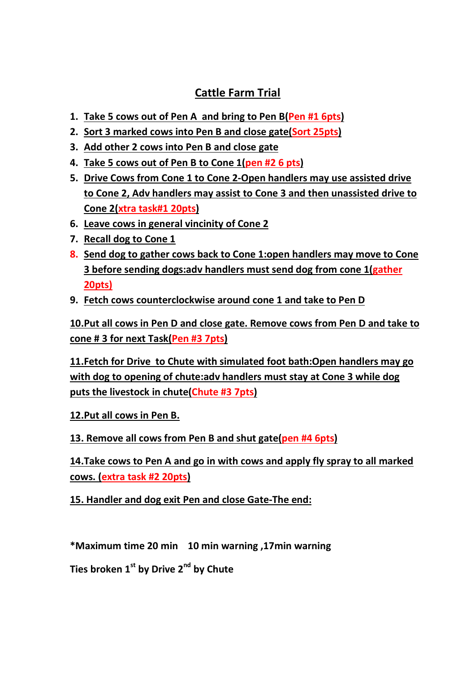# **Cattle Farm Trial**

- **1. Take 5 cows out of Pen A and bring to Pen B(Pen #1 6pts)**
- **2. Sort 3 marked cows into Pen B and close gate(Sort 25pts)**
- **3. Add other 2 cows into Pen B and close gate**
- **4. Take 5 cows out of Pen B to Cone 1(pen #2 6 pts)**
- **5. Drive Cows from Cone 1 to Cone 2-Open handlers may use assisted drive to Cone 2, Adv handlers may assist to Cone 3 and then unassisted drive to Cone 2(xtra task#1 20pts)**
- **6. Leave cows in general vincinity of Cone 2**
- **7. Recall dog to Cone 1**
- **8. Send dog to gather cows back to Cone 1:open handlers may move to Cone 3 before sending dogs:adv handlers must send dog from cone 1(gather 20pts)**
- **9. Fetch cows counterclockwise around cone 1 and take to Pen D**

**10.Put all cows in Pen D and close gate. Remove cows from Pen D and take to cone # 3 for next Task(Pen #3 7pts)** 

**11.Fetch for Drive to Chute with simulated foot bath:Open handlers may go with dog to opening of chute:adv handlers must stay at Cone 3 while dog puts the livestock in chute(Chute #3 7pts)** 

**12.Put all cows in Pen B.** 

**13. Remove all cows from Pen B and shut gate(pen #4 6pts)** 

**14.Take cows to Pen A and go in with cows and apply fly spray to all marked cows. (extra task #2 20pts)** 

**15. Handler and dog exit Pen and close Gate-The end:** 

**\*Maximum time 20 min 10 min warning ,17min warning** 

**Ties broken 1st by Drive 2nd by Chute**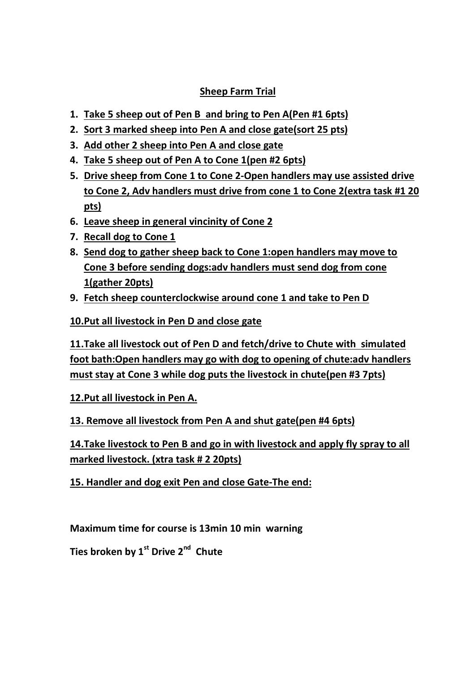### **Sheep Farm Trial**

- **1. Take 5 sheep out of Pen B and bring to Pen A(Pen #1 6pts)**
- **2. Sort 3 marked sheep into Pen A and close gate(sort 25 pts)**
- **3. Add other 2 sheep into Pen A and close gate**
- **4. Take 5 sheep out of Pen A to Cone 1(pen #2 6pts)**
- **5. Drive sheep from Cone 1 to Cone 2-Open handlers may use assisted drive to Cone 2, Adv handlers must drive from cone 1 to Cone 2(extra task #1 20 pts)**
- **6. Leave sheep in general vincinity of Cone 2**
- **7. Recall dog to Cone 1**
- **8. Send dog to gather sheep back to Cone 1:open handlers may move to Cone 3 before sending dogs:adv handlers must send dog from cone 1(gather 20pts)**
- **9. Fetch sheep counterclockwise around cone 1 and take to Pen D**

**10.Put all livestock in Pen D and close gate** 

**11.Take all livestock out of Pen D and fetch/drive to Chute with simulated foot bath:Open handlers may go with dog to opening of chute:adv handlers must stay at Cone 3 while dog puts the livestock in chute(pen #3 7pts)** 

**12.Put all livestock in Pen A.** 

**13. Remove all livestock from Pen A and shut gate(pen #4 6pts)** 

**14.Take livestock to Pen B and go in with livestock and apply fly spray to all marked livestock. (xtra task # 2 20pts)** 

**15. Handler and dog exit Pen and close Gate-The end:** 

**Maximum time for course is 13min 10 min warning** 

**Ties broken by 1st Drive 2nd Chute**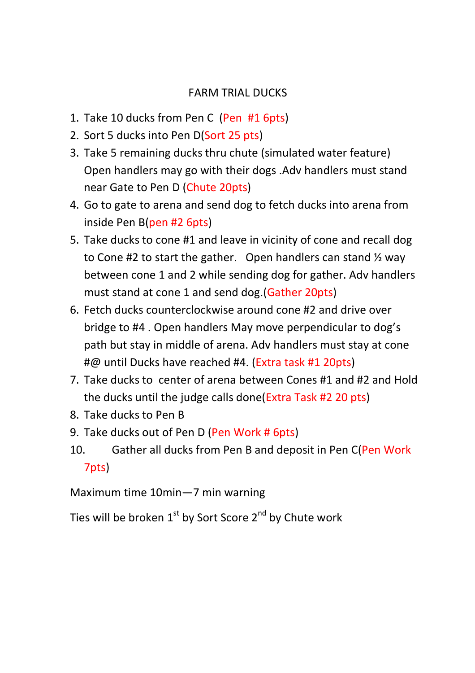# FARM TRIAL DUCKS

- 1. Take 10 ducks from Pen C (Pen #1 6pts)
- 2. Sort 5 ducks into Pen D(Sort 25 pts)
- 3. Take 5 remaining ducks thru chute (simulated water feature) Open handlers may go with their dogs .Adv handlers must stand near Gate to Pen D (Chute 20pts)
- 4. Go to gate to arena and send dog to fetch ducks into arena from inside Pen B(pen #2 6pts)
- 5. Take ducks to cone #1 and leave in vicinity of cone and recall dog to Cone #2 to start the gather. Open handlers can stand ½ way between cone 1 and 2 while sending dog for gather. Adv handlers must stand at cone 1 and send dog.(Gather 20pts)
- 6. Fetch ducks counterclockwise around cone #2 and drive over bridge to #4 . Open handlers May move perpendicular to dog's path but stay in middle of arena. Adv handlers must stay at cone #@ until Ducks have reached #4. (Extra task #1 20pts)
- 7. Take ducks to center of arena between Cones #1 and #2 and Hold the ducks until the judge calls done(Extra Task #2 20 pts)
- 8. Take ducks to Pen B
- 9. Take ducks out of Pen D (Pen Work # 6pts)
- 10. Gather all ducks from Pen B and deposit in Pen C(Pen Work 7pts)

Maximum time 10min—7 min warning

Ties will be broken  $1^{st}$  by Sort Score  $2^{nd}$  by Chute work